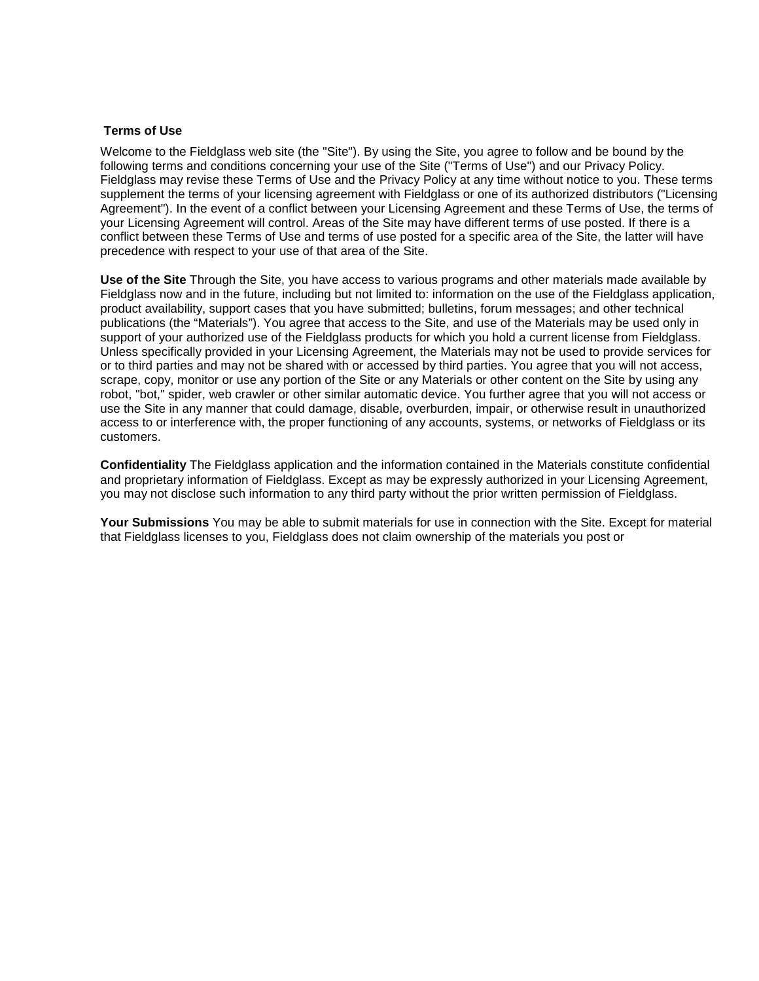## **Terms of Use**

Welcome to the Fieldglass web site (the "Site"). By using the Site, you agree to follow and be bound by the following terms and conditions concerning your use of the Site ("Terms of Use") and our Privacy Policy. Fieldglass may revise these Terms of Use and the Privacy Policy at any time without notice to you. These terms supplement the terms of your licensing agreement with Fieldglass or one of its authorized distributors ("Licensing Agreement"). In the event of a conflict between your Licensing Agreement and these Terms of Use, the terms of your Licensing Agreement will control. Areas of the Site may have different terms of use posted. If there is a conflict between these Terms of Use and terms of use posted for a specific area of the Site, the latter will have precedence with respect to your use of that area of the Site.

**Use of the Site** Through the Site, you have access to various programs and other materials made available by Fieldglass now and in the future, including but not limited to: information on the use of the Fieldglass application, product availability, support cases that you have submitted; bulletins, forum messages; and other technical publications (the "Materials"). You agree that access to the Site, and use of the Materials may be used only in support of your authorized use of the Fieldglass products for which you hold a current license from Fieldglass. Unless specifically provided in your Licensing Agreement, the Materials may not be used to provide services for or to third parties and may not be shared with or accessed by third parties. You agree that you will not access, scrape, copy, monitor or use any portion of the Site or any Materials or other content on the Site by using any robot, "bot," spider, web crawler or other similar automatic device. You further agree that you will not access or use the Site in any manner that could damage, disable, overburden, impair, or otherwise result in unauthorized access to or interference with, the proper functioning of any accounts, systems, or networks of Fieldglass or its customers.

**Confidentiality** The Fieldglass application and the information contained in the Materials constitute confidential and proprietary information of Fieldglass. Except as may be expressly authorized in your Licensing Agreement, you may not disclose such information to any third party without the prior written permission of Fieldglass.

**Your Submissions** You may be able to submit materials for use in connection with the Site. Except for material that Fieldglass licenses to you, Fieldglass does not claim ownership of the materials you post or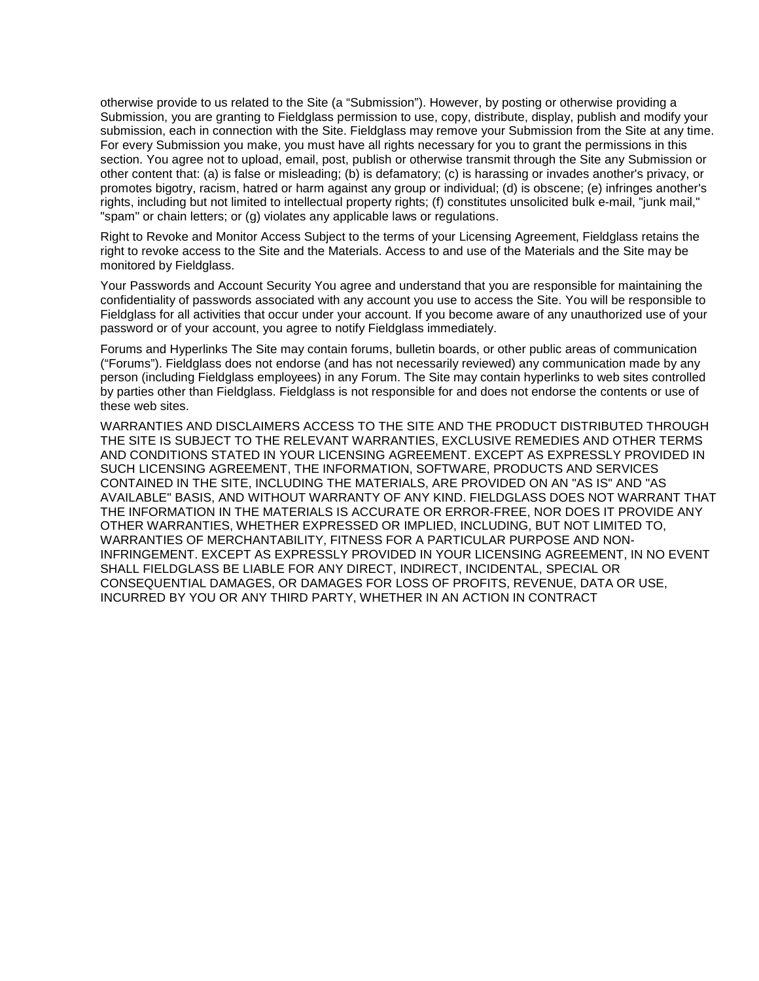otherwise provide to us related to the Site (a "Submission"). However, by posting or otherwise providing a Submission, you are granting to Fieldglass permission to use, copy, distribute, display, publish and modify your submission, each in connection with the Site. Fieldglass may remove your Submission from the Site at any time. For every Submission you make, you must have all rights necessary for you to grant the permissions in this section. You agree not to upload, email, post, publish or otherwise transmit through the Site any Submission or other content that: (a) is false or misleading; (b) is defamatory; (c) is harassing or invades another's privacy, or promotes bigotry, racism, hatred or harm against any group or individual; (d) is obscene; (e) infringes another's rights, including but not limited to intellectual property rights; (f) constitutes unsolicited bulk e-mail, "junk mail," "spam" or chain letters; or (g) violates any applicable laws or regulations.

Right to Revoke and Monitor Access Subject to the terms of your Licensing Agreement, Fieldglass retains the right to revoke access to the Site and the Materials. Access to and use of the Materials and the Site may be monitored by Fieldglass.

Your Passwords and Account Security You agree and understand that you are responsible for maintaining the confidentiality of passwords associated with any account you use to access the Site. You will be responsible to Fieldglass for all activities that occur under your account. If you become aware of any unauthorized use of your password or of your account, you agree to notify Fieldglass immediately.

Forums and Hyperlinks The Site may contain forums, bulletin boards, or other public areas of communication ("Forums"). Fieldglass does not endorse (and has not necessarily reviewed) any communication made by any person (including Fieldglass employees) in any Forum. The Site may contain hyperlinks to web sites controlled by parties other than Fieldglass. Fieldglass is not responsible for and does not endorse the contents or use of these web sites.

WARRANTIES AND DISCLAIMERS ACCESS TO THE SITE AND THE PRODUCT DISTRIBUTED THROUGH THE SITE IS SUBJECT TO THE RELEVANT WARRANTIES, EXCLUSIVE REMEDIES AND OTHER TERMS AND CONDITIONS STATED IN YOUR LICENSING AGREEMENT. EXCEPT AS EXPRESSLY PROVIDED IN SUCH LICENSING AGREEMENT, THE INFORMATION, SOFTWARE, PRODUCTS AND SERVICES CONTAINED IN THE SITE, INCLUDING THE MATERIALS, ARE PROVIDED ON AN "AS IS" AND "AS AVAILABLE" BASIS, AND WITHOUT WARRANTY OF ANY KIND. FIELDGLASS DOES NOT WARRANT THAT THE INFORMATION IN THE MATERIALS IS ACCURATE OR ERROR-FREE, NOR DOES IT PROVIDE ANY OTHER WARRANTIES, WHETHER EXPRESSED OR IMPLIED, INCLUDING, BUT NOT LIMITED TO, WARRANTIES OF MERCHANTABILITY, FITNESS FOR A PARTICULAR PURPOSE AND NON-INFRINGEMENT. EXCEPT AS EXPRESSLY PROVIDED IN YOUR LICENSING AGREEMENT, IN NO EVENT SHALL FIELDGLASS BE LIABLE FOR ANY DIRECT, INDIRECT, INCIDENTAL, SPECIAL OR CONSEQUENTIAL DAMAGES, OR DAMAGES FOR LOSS OF PROFITS, REVENUE, DATA OR USE, INCURRED BY YOU OR ANY THIRD PARTY, WHETHER IN AN ACTION IN CONTRACT